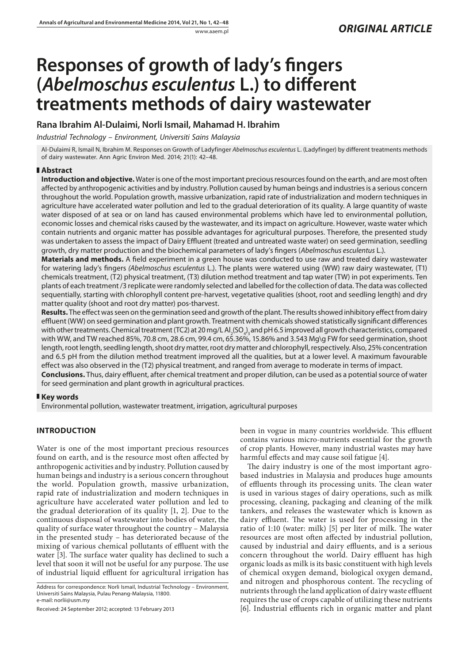# **Responses of growth of lady's fingers (***Abelmoschus esculentus* **L.) to different treatments methods of dairy wastewater**

# **Rana Ibrahim Al-Dulaimi, Norli Ismail, Mahamad H. Ibrahim**

*Industrial Technology – Environment, Universiti Sains Malaysia*

Al-Dulaimi R, Ismail N, Ibrahim M. Responses on Growth of Ladyfinger *Abelmoschus esculentus* L. (Ladyfinger) by different treatments methods of dairy wastewater. Ann Agric Environ Med. 2014; 21(1): 42–48.

### **Abstract**

**Introduction and objective.** Water is one of the most important precious resources found on the earth, and are most often affected by anthropogenic activities and by industry. Pollution caused by human beings and industries is a serious concern throughout the world. Population growth, massive urbanization, rapid rate of industrialization and modern techniques in agriculture have accelerated water pollution and led to the gradual deterioration of its quality. A large quantity of waste water disposed of at sea or on land has caused environmental problems which have led to environmental pollution, economic losses and chemical risks caused by the wastewater, and its impact on agriculture. However, waste water which contain nutrients and organic matter has possible advantages for agricultural purposes. Therefore, the presented study was undertaken to assess the impact of Dairy Effluent (treated and untreated waste water) on seed germination, seedling growth, dry matter production and the biochemical parameters of lady's fingers (*Abelmoschus esculentus* L.).

**Materials and methods.** A field experiment in a green house was conducted to use raw and treated dairy wastewater for watering lady's fingers *(Abelmoschus esculentus* L.). The plants were watered using (WW) raw dairy wastewater, (T1) chemicals treatment, (T2) physical treatment, (T3) dilution method treatment and tap water (TW) in pot experiments. Ten plants of each treatment /3 replicate were randomly selected and labelled for the collection of data. The data was collected sequentially, starting with chlorophyll content pre-harvest, vegetative qualities (shoot, root and seedling length) and dry matter quality (shoot and root dry matter) pos-tharvest.

**Results.** The effect was seen on the germination seed and growth of the plant. The results showed inhibitory effect from dairy effluent (WW) on seed germination and plant growth. Treatment with chemicals showed statistically significant differences with other treatments. Chemical treatment (TC2) at 20 mg/L Al<sub>2</sub>(SO<sub>4</sub>)<sub>3</sub> and pH 6.5 improved all growth characteristics, compared with WW, and TW reached 85%, 70.8 cm, 28.6 cm, 99.4 cm, 65.36%, 15.86% and 3.543 Mg\g FW for seed germination, shoot length, root length, seedling length, shoot dry matter, root dry matter and chlorophyll, respectively. Also, 25% concentration and 6.5 pH from the dilution method treatment improved all the qualities, but at a lower level. A maximum favourable effect was also observed in the (T2) physical treatment, and ranged from average to moderate in terms of impact.

**Conclusions.** Thus, dairy effluent, after chemical treatment and proper dilution, can be used as a potential source of water for seed germination and plant growth in agricultural practices.

## **Key words**

Environmental pollution, wastewater treatment, irrigation, agricultural purposes

## **INTRODUCTION**

Water is one of the most important precious resources found on earth, and is the resource most often affected by anthropogenic activities and by industry. Pollution caused by human beings and industry is a serious concern throughout the world. Population growth, massive urbanization, rapid rate of industrialization and modern techniques in agriculture have accelerated water pollution and led to the gradual deterioration of its quality [1, 2]. Due to the continuous disposal of wastewater into bodies of water, the quality of surface water throughout the country – Malaysia in the presented study – has deteriorated because of the mixing of various chemical pollutants of effluent with the water [3]. The surface water quality has declined to such a level that soon it will not be useful for any purpose. The use of industrial liquid effluent for agricultural irrigation has

Address for correspondence: Norli Ismail, Industrial Technology – Environment, Universiti Sains Malaysia, Pulau Penang-Malaysia, 11800. e-mail: norlii@usm.my

been in vogue in many countries worldwide. This effluent contains various micro-nutrients essential for the growth of crop plants. However, many industrial wastes may have harmful effects and may cause soil fatigue [4].

The dairy industry is one of the most important agrobased industries in Malaysia and produces huge amounts of effluents through its processing units. The clean water is used in various stages of dairy operations, such as milk processing, cleaning, packaging and cleaning of the milk tankers, and releases the wastewater which is known as dairy effluent. The water is used for processing in the ratio of 1:10 (water: milk) [5] per liter of milk. The water resources are most often affected by industrial pollution, caused by industrial and dairy effluents, and is a serious concern throughout the world. Dairy effluent has high organic loads as milk is its basic constituent with high levels of chemical oxygen demand, biological oxygen demand, and nitrogen and phosphorous content. The recycling of nutrients through the land application of dairy waste effluent requires the use of crops capable of utilizing these nutrients [6]. Industrial effluents rich in organic matter and plant

Received: 24 September 2012; accepted: 13 February 2013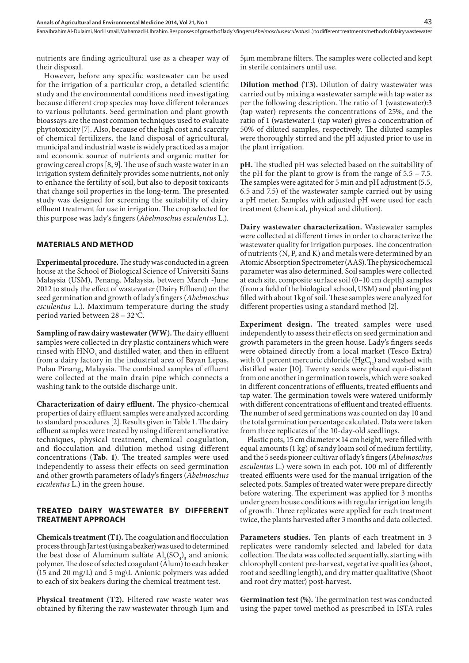nutrients are finding agricultural use as a cheaper way of their disposal.

However, before any specific wastewater can be used for the irrigation of a particular crop, a detailed scientific study and the environmental conditions need investigating because different crop species may have different tolerances to various pollutants. Seed germination and plant growth bioassays are the most common techniques used to evaluate phytotoxicity [7]. Also, because of the high cost and scarcity of chemical fertilizers, the land disposal of agricultural, municipal and industrial waste is widely practiced as a major and economic source of nutrients and organic matter for growing cereal crops [8, 9]. The use of such waste water in an irrigation system definitely provides some nutrients, not only to enhance the fertility of soil, but also to deposit toxicants that change soil properties in the long-term. The presented study was designed for screening the suitability of dairy effluent treatment for use in irrigation. The crop selected for this purpose was lady's fingers (*Abelmoschus esculentus* L.).

#### **MATERIALS AND METHOD**

**Experimental procedure.** The study was conducted in a green house at the School of Biological Science of Universiti Sains Malaysia (USM), Penang, Malaysia, between March -June 2012 to study the effect of wastewater (Dairy Effluent) on the seed germination and growth of lady's fingers (*Abelmoschus esculentus* L.). Maximum temperature during the study period varied between 28 – 32ºC.

**Sampling of raw dairy wastewater (WW).** The dairy effluent samples were collected in dry plastic containers which were rinsed with  $HNO<sub>3</sub>$  and distilled water, and then in effluent from a dairy factory in the industrial area of Bayan Lepas, Pulau Pinang, Malaysia. The combined samples of effluent were collected at the main drain pipe which connects a washing tank to the outside discharge unit.

**Characterization of dairy effluent.** The physico-chemical properties of dairy effluent samples were analyzed according to standard procedures [2]. Results given in Table 1. The dairy effluent samples were treated by using different ameliorative techniques, physical treatment, chemical coagulation, and flocculation and dilution method using different concentrations (**Tab. 1**). The treated samples were used independently to assess their effects on seed germination and other growth parameters of lady's fingers (*Abelmoschus esculentus* L.) in the green house.

#### **Treated dairy wastewater by different treatment approach**

**Chemicals treatment (T1).** The coagulation and flocculation process through Jar test (using a beaker) was used to determined the best dose of Aluminum sulfate  $\text{Al}_2(\text{SO}_4)$  and anionic polymer. The dose of selected coagulant (Alum) to each beaker (15 and 20 mg/L) and 5 mg\L Anionic polymers was added to each of six beakers during the chemical treatment test.

**Physical treatment (T2).** Filtered raw waste water was obtained by filtering the raw wastewater through 1μm and

5μm membrane filters. The samples were collected and kept in sterile containers until use.

**Dilution method (T3).** Dilution of dairy wastewater was carried out by mixing a wastewater sample with tap water as per the following description. The ratio of 1 (wastewater):3 (tap water) represents the concentrations of 25%, and the ratio of 1 (wastewater:1 (tap water) gives a concentration of 50% of diluted samples, respectively. The diluted samples were thoroughly stirred and the pH adjusted prior to use in the plant irrigation.

**pH.** The studied pH was selected based on the suitability of the pH for the plant to grow is from the range of 5.5 – 7.5. The samples were agitated for 5 min and pH adjustment (5.5, 6.5 and 7.5) of the wastewater sample carried out by using a pH meter. Samples with adjusted pH were used for each treatment (chemical, physical and dilution).

**Dairy wastewater characterization.** Wastewater samples were collected at different times in order to characterize the wastewater quality for irrigation purposes. The concentration of nutrients (N, P, and K) and metals were determined by an Atomic Absorption Spectrometer (AAS). The physicochemical parameter was also determined. Soil samples were collected at each site, composite surface soil (0–10 cm depth) samples (from a field of the biological school, USM) and planting pot filled with about 1kg of soil. These samples were analyzed for different properties using a standard method [2].

**Experiment design.** The treated samples were used independently to assess their effects on seed germination and growth parameters in the green house. Lady's fingers seeds were obtained directly from a local market (Tesco Extra) with 0.1 percent mercuric chloride (HgC<sub>12</sub>) and washed with distilled water [10]. Twenty seeds were placed equi-distant from one another in germination towels, which were soaked in different concentrations of effluents, treated effluents and tap water. The germination towels were watered uniformly with different concentrations of effluent and treated effluents. The number of seed germinations was counted on day 10 and the total germination percentage calculated. Data were taken from three replicates of the 10-day-old seedlings.

Plastic pots, 15 cm diameter  $\times$  14 cm height, were filled with equal amounts (1 kg) of sandy loam soil of medium fertility, and the 5 seeds pioneer cultivar of lady's fingers (*Abelmoschus esculentus* L.) were sown in each pot. 100 ml of differently treated effluents were used for the manual irrigation of the selected pots. Samples of treated water were prepare directly before watering. The experiment was applied for 3 months under green house conditions with regular irrigation length of growth. Three replicates were applied for each treatment twice, the plants harvested after 3 months and data collected.

Parameters studies. Ten plants of each treatment in 3 replicates were randomly selected and labeled for data collection. The data was collected sequentially, starting with chlorophyll content pre-harvest, vegetative qualities (shoot, root and seedling length), and dry matter qualitative (Shoot and root dry matter) post-harvest.

**Germination test (%).** The germination test was conducted using the paper towel method as prescribed in ISTA rules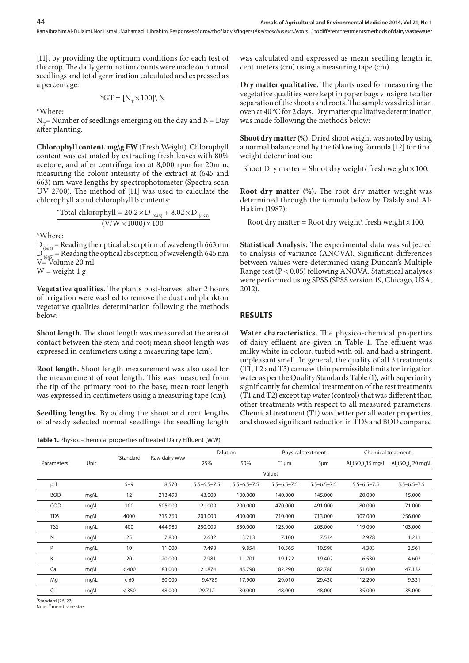[11], by providing the optimum conditions for each test of the crop. The daily germination counts were made on normal seedlings and total germination calculated and expressed as a percentage:

$$
^{\ast }\mathrm{GT}=[\mathrm{N}_{\mathrm{T}}\times 100]\setminus \mathrm{N}%
$$

\*Where:

 $N_T$ = Number of seedlings emerging on the day and N= Day after planting.

**Chlorophyll content. mg\g FW** (Fresh Weight). **C**hlorophyll content was estimated by extracting fresh leaves with 80% acetone, and after centrifugation at 8,000 rpm for 20min, measuring the colour intensity of the extract at (645 and 663) nm wave lengths by spectrophotometer (Spectra scan UV 2700). The method of [11] was used to calculate the chlorophyll a and chlorophyll b contents:

\*Total chlorophyll = 
$$
20.2 \times D_{(645)} + 8.02 \times D_{(663)}
$$
  
(V/W×1000)×100

\*Where:

 $D_{(663)}$  = Reading the optical absorption of wavelength 663 nm  $D_{(645)}$  = Reading the optical absorption of wavelength 645 nm V= Volume 20 ml  $W = weight 1 g$ 

**Vegetative qualities.** The plants post-harvest after 2 hours of irrigation were washed to remove the dust and plankton vegetative qualities determination following the methods below:

**Shoot length.** The shoot length was measured at the area of contact between the stem and root; mean shoot length was expressed in centimeters using a measuring tape (cm).

**Root length.** Shoot length measurement was also used for the measurement of root length. This was measured from the tip of the primary root to the base; mean root length was expressed in centimeters using a measuring tape (cm).

**Seedling lengths.** By adding the shoot and root lengths of already selected normal seedlings the seedling length

**Table 1.** Physico-chemical properties of treated Dairy Effluent (WW)

was calculated and expressed as mean seedling length in centimeters (cm) using a measuring tape (cm).

**Dry matter qualitative.** The plants used for measuring the vegetative qualities were kept in paper bags vinaigrette after separation of the shoots and roots. The sample was dried in an oven at 40°C for 2 days. Dry matter qualitative determination was made following the methods below:

**Shoot dry matter (%).** Dried shoot weight was noted by using a normal balance and by the following formula [12] for final weight determination:

Shoot Dry matter = Shoot dry weight/ fresh weight  $\times$  100.

**Root dry matter (%).** The root dry matter weight was determined through the formula below by Dalaly and Al-Hakim (1987):

Root dry matter = Root dry weight\ fresh weight  $\times$  100.

**Statistical Analysis.** The experimental data was subjected to analysis of variance (ANOVA). Significant differences between values were determined using Duncan's Multiple Range test (P < 0.05) following ANOVA. Statistical analyses were performed using SPSS (SPSS version 19, Chicago, USA, 2012).

#### **RESULTS**

**Water characteristics.** The physico-chemical properties of dairy effluent are given in Table 1. The effluent was milky white in colour, turbid with oil, and had a stringent, unpleasant smell. In general, the quality of all 3 treatments (T1, T2 and T3) came within permissible limits for irrigation water as per the Quality Standards Table (1), with Superiority significantly for chemical treatment on of the rest treatments (T1 and T2) except tap water (control) that was different than other treatments with respect to all measured parameters. Chemical treatment (T1) was better per all water properties, and showed significant reduction in TDS and BOD compared

| Parameters |      | *Standard | Raw dairy w\w | Dilution          |                   | Physical treatment |                   | Chemical treatment    |                                                          |  |
|------------|------|-----------|---------------|-------------------|-------------------|--------------------|-------------------|-----------------------|----------------------------------------------------------|--|
|            | Unit |           |               | 25%               | 50%               | $"1 \mu m$         | $5 \mu m$         | Al, $(SOn)$ , 15 mg\L | $\mathsf{AI}, \mathsf{SO}, 20 \,\mathsf{mg}\backslash L$ |  |
|            |      |           |               | Values            |                   |                    |                   |                       |                                                          |  |
| pH         |      | $5 - 9$   | 8.570         | $5.5 - 6.5 - 7.5$ | $5.5 - 6.5 - 7.5$ | $5.5 - 6.5 - 7.5$  | $5.5 - 6.5 - 7.5$ | $5.5 - 6.5 - 7.5$     | $5.5 - 6.5 - 7.5$                                        |  |
| <b>BOD</b> | mqL  | 12        | 213.490       | 43.000            | 100.000           | 140.000            | 145.000           | 20.000                | 15.000                                                   |  |
| COD        | mqL  | 100       | 505.000       | 121.000           | 200.000           | 470.000            | 491.000           | 80.000                | 71.000                                                   |  |
| <b>TDS</b> | mqL  | 4000      | 715.760       | 203.000           | 400,000           | 710.000            | 713.000           | 307.000               | 256.000                                                  |  |
| <b>TSS</b> | mqL  | 400       | 444.980       | 250.000           | 350.000           | 123.000            | 205.000           | 119.000               | 103.000                                                  |  |
| N          | mqL  | 25        | 7.800         | 2.632             | 3.213             | 7.100              | 7.534             | 2.978                 | 1.231                                                    |  |
| P          | mqL  | 10        | 11.000        | 7.498             | 9.854             | 10.565             | 10.590            | 4.303                 | 3.561                                                    |  |
| Κ          | mqL  | 20        | 20.000        | 7.981             | 11.701            | 19.122             | 19.402            | 6.530                 | 4.602                                                    |  |
| Ca         | mqL  | < 400     | 83.000        | 21.874            | 45.798            | 82.290             | 82.780            | 51.000                | 47.132                                                   |  |
| Mg         | mqL  | < 60      | 30.000        | 9.4789            | 17.900            | 29.010             | 29.430            | 12.200                | 9.331                                                    |  |
| CI         | mqL  | < 350     | 48.000        | 29.712            | 30.000            | 48.000             | 48,000            | 35.000                | 35.000                                                   |  |

\* Standard [26, 27]

Note: \*\* membrane size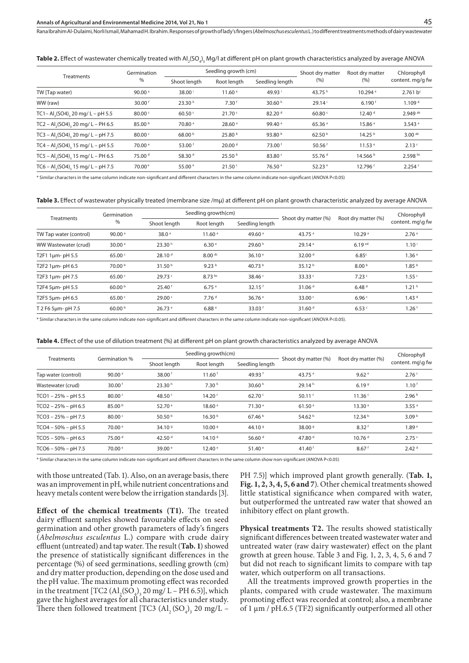## **Table 2.** Effect of wastewater chemically treated with Al<sub>2</sub>(SO<sub>4</sub>)<sub>3</sub> Mg/l at different pH on plant growth characteristics analyzed by average ANOVA

|                                       | Germination        |                             | Seedling growth (cm) |                    | Shoot dry matter   | Root dry matter      | Chlorophyll          |
|---------------------------------------|--------------------|-----------------------------|----------------------|--------------------|--------------------|----------------------|----------------------|
| <b>Treatments</b>                     | $\%$               | Shoot length<br>Root length |                      | Seedling length    | (%)                | (9/6)                | content. mg/g fw     |
| TW [Tap water)                        | 90.00 $a$          | 38.00 <sup>i</sup>          | 11.60 <sup>e</sup>   | 49.93              | 43.75 <sup>h</sup> | 10.294 <sup>e</sup>  | 2.761 b <sup>c</sup> |
| WW (raw)                              | 30.00 $f$          | 23.30 <sup>h</sup>          | 7.30 <sup>6</sup>    | 30.60 $h$          | 29.14              | $6.190$ <sup>f</sup> | 1.109 <sup>d</sup>   |
| TC1-Al, $(SO4)$ , 20 mg/ L - pH 5.5   | 80.00C             | 60.50 $C$                   | 21.70 <sup>c</sup>   | 82.20 <sup>d</sup> | 60.80 $°$          | 12.40 <sup>d</sup>   | 2.949 ab             |
| TC2 - Al, $(SO4)$ , 20 mg/ L - PH 6.5 | 85.00 <sup>b</sup> | 70.80 <sup>a</sup>          | 28.60 <sup>a</sup>   | 99.40 <sup>a</sup> | 65.36a             | 15.86 <sup>a</sup>   | $3.543$ <sup>a</sup> |
| $TC3 - Al2(SO4)$ , 20 mg/ L – pH 7.5  | 80.00C             | 68.00 <sup>b</sup>          | 25.80 <sup>b</sup>   | 93.80 $b$          | 62.50 <sup>b</sup> | 14.25 <sup>b</sup>   | 3.00 <sup>ab</sup>   |
| $TC4 - Al2(SO4), 15 mg/L - pH 5.5$    | 70.00 <sup>e</sup> | 53.00 <sup>f</sup>          | 20.00 <sup>d</sup>   | 73.00 <sup>f</sup> | 50.56 $f$          | 11.53 <sup>e</sup>   | 2.13 <sup>c</sup>    |
| $TC5 - Al2(SO4)$ , 15 mg/ L – PH 6.5  | 75.00 <sup>d</sup> | 58.30 <sup>d</sup>          | 25.50 <sup>b</sup>   | 83.80 <sup>c</sup> | 55.76 <sup>d</sup> | 14.566 <sup>b</sup>  | 2.598 bc             |
| $TC6 - Al2(SO4)$ , 15 mg/ L – pH 7.5  | 70.00 <sup>e</sup> | 55.00 <sup>e</sup>          | 21.50 <sup>c</sup>   | 76.50 <sup>e</sup> | 52.23 <sup>e</sup> | 12.796 c             | 2.254c               |
|                                       |                    |                             |                      |                    |                    |                      |                      |

\* Similar characters in the same column indicate non-significant and different characters in the same column indicate non-significant (ANOVA P<0.05)

#### Table 3. Effect of wastewater physically treated (membrane size /mµ) at different pH on plant growth characteristic analyzed by average ANOVA

|                        | Germination<br>$\%$ | Seedling growth(cm) |                    |                      |                      |                     | Chlorophyll         |
|------------------------|---------------------|---------------------|--------------------|----------------------|----------------------|---------------------|---------------------|
| Treatments             |                     | Shoot length        | Root length        | Seedling length      | Shoot dry matter (%) | Root dry matter (%) | content. mg\g fw    |
| TW Tap water (control) | 90.00 $^{\circ}$    | 38.0 <sup>a</sup>   | 11.60 <sup>a</sup> | 49.60 $a$            | 43.75 <sup>a</sup>   | 10.29 <sup>a</sup>  | 2.76 <sup>a</sup>   |
| WW Wastewater (crud)   | 30.00 <sup>e</sup>  | 23.30h              | 6.30 <sup>e</sup>  | 29.60 <sup>h</sup>   | 29.14 $e$            | 6.19 <sup>ed</sup>  | $1.10^{1}$          |
| T2F1 1um- pH 5.5       | 65.00 <sup>c</sup>  | 28.10 <sup>d</sup>  | $8.00$ dc          | 36.10 $e$            | 32.00 <sup>d</sup>   | 6.85c               | 1.36 <sup>e</sup>   |
| T2F2 1um- pH 6.5       | 70.00 <sup>b</sup>  | 31.50 <sup>b</sup>  | 9.23 <sup>b</sup>  | 40.73 $b$            | 35.12 <sup>b</sup>   | 8.00 <sup>b</sup>   | 1.85 <sup>b</sup>   |
| T2F3 1um- pH 7.5       | 65.00 $C$           | 29.73 <sup>c</sup>  | $8.73$ bc          | 38.46 <sup>c</sup>   | 33.33 <sup>c</sup>   | 7.23 <sup>c</sup>   | 1.55 <sup>c</sup>   |
| T2F4 5um- pH 5.5       | 60.00 <sup>b</sup>  | 25.40 <sup>6</sup>  | 6.75e              | $32.15$ <sup>f</sup> | 31.06 <sup>d</sup>   | 6.48 <sup>d</sup>   | 1.21 <sup>h</sup>   |
| T2F5 5um- pH 6.5       | 65.00 $C$           | 29.00 c             | 7.76 <sup>d</sup>  | 36.76 <sup>e</sup>   | 33.00 <sup>c</sup>   | 6.96c               | 1.43 <sup>d</sup>   |
| T 2 F6 5um- pH 7.5     | 60.00 <sup>b</sup>  | 26.73 <sup>e</sup>  | 6.88e              | 33.03 $f$            | 31.60 <sup>d</sup>   | 6.53c               | $1.26$ <sup>f</sup> |
|                        |                     |                     |                    |                      |                      |                     |                     |

\* Similar characters in the same column indicate non-significant and different characters in the same column indicate non-significant (ANOVA P<0.05).

| <b>Table 4.</b> Effect of the use of dilution treatment (%) at different pH on plant growth characteristics analyzed by average ANOVA |  |  |
|---------------------------------------------------------------------------------------------------------------------------------------|--|--|
|---------------------------------------------------------------------------------------------------------------------------------------|--|--|

| <b>Treatments</b>      |                    | Seedling growth(cm) |                    |                    |                      |                     | Chlorophyll       |
|------------------------|--------------------|---------------------|--------------------|--------------------|----------------------|---------------------|-------------------|
|                        | Germination %      | Shoot length        | Root length        | Seedling length    | Shoot dry matter (%) | Root dry matter (%) | content. mg\g fw  |
| Tap water (control)    | 90.00a             | 38.00 <sup>f</sup>  | 11.60 <sup>f</sup> | 49.93f             | 43.75 <sup>e</sup>   | 9.62 <sup>e</sup>   | 2.76c             |
| Wastewater (crud)      | 30.00 <sup>f</sup> | 23.30h              | 7.30h              | 30.60h             | 29.14h               | 6.199               | 1.10 <sup>f</sup> |
| $TCO1 - 25% - pH 5.5$  | 80.00C             | 48.50 <sup>c</sup>  | 14.20 <sup>c</sup> | $62.70$ $\circ$    | 50.11 $\epsilon$     | 11.36 <sup>c</sup>  | 2.96 <sup>b</sup> |
| $TCO2 - 25% - pH 6.5$  | 85.00 <sup>b</sup> | 52.70 <sup>a</sup>  | 18.60 <sup>a</sup> | 71.30 <sup>a</sup> | 61.50 <sup>a</sup>   | 13.30 <sup>a</sup>  | 3.55 <sup>a</sup> |
| $TCO3 - 25% - pH 7.5$  | 80.00C             | 50.50 $b$           | 16.30 <sup>b</sup> | 67.46 <sup>b</sup> | 54.62 <sup>b</sup>   | 12.34 <sup>b</sup>  | 3.09 <sup>b</sup> |
| $TCO4 - 50\% - pH 5.5$ | 70.00 <sup>e</sup> | 34.10 <sup>9</sup>  | 10.00 <sup>9</sup> | 44.10 9            | 38.00 <sup>9</sup>   | 8.32 <sup>f</sup>   | 1.89 <sup>e</sup> |
| $TCO5 - 50\% - pH 6.5$ | 75.00 <sup>d</sup> | 42.50 <sup>d</sup>  | 14.10 <sup>d</sup> | 56.60 <sup>d</sup> | 47.80 <sup>d</sup>   | 10.76 <sup>d</sup>  | 2.75c             |
| $TCO6 - 50\% - pH 7.5$ | 70.00 <sup>e</sup> | 39.00 <sup>e</sup>  | 12.40 <sup>e</sup> | 51.40 <sup>e</sup> | 41.40 $f$            | $8.67$ <sup>f</sup> | 2.42 <sup>d</sup> |

\* Similar characters in the same column indicate non-significant and different characters in the same column show non-significant (ANOVA P<0.05)

with those untreated (Tab. 1). Also, on an average basis, there was an improvement in pH, while nutrient concentrations and heavy metals content were below the irrigation standards [3].

**Effect of the chemical treatments (T1).** The treated dairy effluent samples showed favourable effects on seed germination and other growth parameters of lady's fingers (*Abelmoschus esculentus* L.) compare with crude dairy effluent (untreated) and tap water. The result (**Tab. 1**) showed the presence of statistically significant differences in the percentage (%) of seed germinations, seedling growth (cm) and dry matter production, depending on the dose used and the pH value. The maximum promoting effect was recorded in the treatment [TC2  $\left(\text{Al}_2\left(\text{SO}_4\right)_3\right)$  20 mg/ L – PH 6.5)], which gave the highest averages for all characteristics under study. There then followed treatment [TC3  $\left(\text{Al}_2\left(\text{SO}_4\right)_3\right)$  20 mg/L – PH 7.5)] which improved plant growth generally. (**Tab. 1, Fig. 1, 2, 3, 4, 5, 6 and 7**). Other chemical treatments showed little statistical significance when compared with water, but outperformed the untreated raw water that showed an inhibitory effect on plant growth.

**Physical treatments T2.** The results showed statistically significant differences between treated wastewater water and untreated water (raw dairy wastewater) effect on the plant growth at green house. Table 3 and Fig. 1, 2, 3, 4, 5, 6 and 7 but did not reach to significant limits to compare with tap water, which outperform on all transactions.

All the treatments improved growth properties in the plants, compared with crude wastewater. The maximum promoting effect was recorded at control; also, a membrane of 1 µm / pH.6.5 (TF2) significantly outperformed all other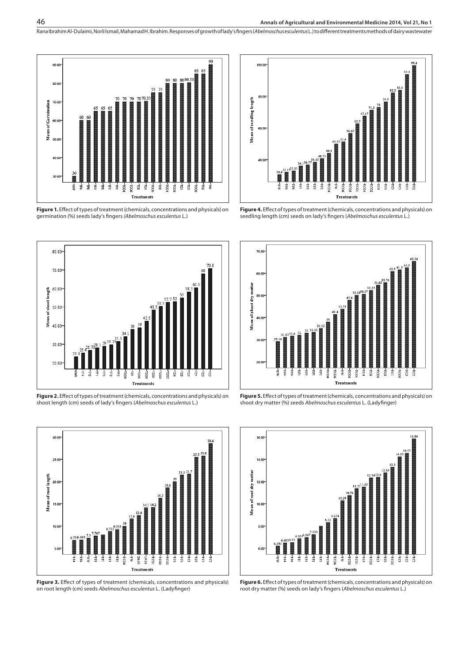

**Figure 1.** Effect of types of treatment (chemicals, concentrations and physicals) on germination (%) seeds lady's fingers *(Abelmoschus esculentus* L.)



**Figure 2.** Effect of types of treatment (chemicals, concentrations and physicals) on shoot length (cm) seeds of lady's fingers (*Abelmoschus esculentus* L.)



**Figure 3.** Effect of types of treatment (chemicals, concentrations and physicals) on root length (cm) seeds *Abelmoschus esculentus* L. (Ladyfinger)



**Figure 4.** Effect of types of treatment (chemicals, concentrations and physicals) on seedling length (cm) seeds on lady's fingers (*Abelmoschus esculentus* L.)



**Figure 5.** Effect of types of treatment (chemicals, concentrations and physicals) on shoot dry matter (%) seeds *Abelmoschus esculentus* L. (Ladyfinger)



**Figure 6.** Effect of types of treatment (chemicals, concentrations and physicals) on root dry matter (%) seeds on lady's fingers (*Abelmoschus esculentus* L.)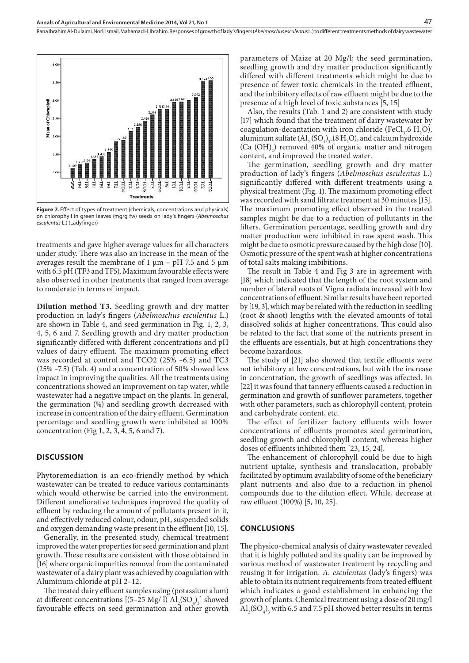

**Figure 7.** Effect of types of treatment (chemicals, concentrations and physicals) on chlorophyll in green leaves (mg/g fw) seeds on lady's fingers (*Abelmoschus esculentus* L.) (Ladyfinger)

treatments and gave higher average values for all characters under study. There was also an increase in the mean of the averages result the membrane of 1  $\mu$ m – pH 7.5 and 5  $\mu$ m with 6.5 pH (TF3 and TF5). Maximum favourable effects were also observed in other treatments that ranged from average to moderate in terms of impact.

**Dilution method T3.** Seedling growth and dry matter production in lady's fingers (*Abelmoschus esculentus* L.) are shown in Table 4, and seed germination in Fig. 1, 2, 3, 4, 5, 6 and 7. Seedling growth and dry matter production significantly differed with different concentrations and pH values of dairy effluent. The maximum promoting effect was recorded at control and TCO2 (25% –6.5) and TC3 (25% –7.5) (Tab. 4) and a concentration of 50% showed less impact in improving the qualities. All the treatments using concentrations showed an improvement on tap water, while wastewater had a negative impact on the plants. In general, the germination (%) and seedling growth decreased with increase in concentration of the dairy effluent. Germination percentage and seedling growth were inhibited at 100% concentration (Fig 1, 2, 3, 4, 5, 6 and 7).

#### **DISCUSSION**

Phytoremediation is an eco-friendly method by which wastewater can be treated to reduce various contaminants which would otherwise be carried into the environment. Different ameliorative techniques improved the quality of effluent by reducing the amount of pollutants present in it, and effectively reduced colour, odour, pH, suspended solids and oxygen demanding waste present in the effluent [10, 15].

Generally, in the presented study, chemical treatment improved the water properties for seed germination and plant growth. These results are consistent with those obtained in [16] where organic impurities removal from the contaminated wastewater of a dairy plant was achieved by coagulation with Aluminum chloride at pH 2–12.

The treated dairy effluent samples using (potassium alum) at different concentrations  $[(5-25 \text{ Mg/H}) \text{ Al}_2(\text{SO}_4)_3]$  showed favourable effects on seed germination and other growth

parameters of Maize at 20 Mg/l; the seed germination, seedling growth and dry matter production significantly differed with different treatments which might be due to presence of fewer toxic chemicals in the treated effluent, and the inhibitory effects of raw effluent might be due to the presence of a high level of toxic substances [5, 15]

Also, the results (Tab. 1 and 2) are consistent with study [17] which found that the treatment of dairy wastewater by coagulation-decantation with iron chloride (FeCl<sub>3</sub>.6 H<sub>2</sub>O), aluminum sulfate  $\left( \text{Al}_2\left( \text{SO}_4 \right)_3$ . 18 H<sub>2</sub>O), and calcium hydroxide  $(Ca (OH)<sub>2</sub>)$  removed 40% of organic matter and nitrogen content, and improved the treated water.

The germination, seedling growth and dry matter production of lady's fingers (*Abelmoschus esculentus* L.) significantly differed with different treatments using a physical treatment (Fig. 1). The maximum promoting effect was recorded with sand filtrate treatment at 30 minutes [15]. The maximum promoting effect observed in the treated samples might be due to a reduction of pollutants in the filters. Germination percentage, seedling growth and dry matter production were inhibited in raw spent wash. This might be due to osmotic pressure caused by the high dose [10]. Osmotic pressure of the spent wash at higher concentrations of total salts making imbibitions.

The result in Table 4 and Fig 3 are in agreement with [18] which indicated that the length of the root system and number of lateral roots of Vigna radiata increased with low concentrations of effluent. Similar results have been reported by [19, 3], which may be related with the reduction in seedling (root & shoot) lengths with the elevated amounts of total dissolved solids at higher concentrations. This could also be related to the fact that some of the nutrients present in the effluents are essentials, but at high concentrations they become hazardous.

The study of [21] also showed that textile effluents were not inhibitory at low concentrations, but with the increase in concentration, the growth of seedlings was affected. In [22] it was found that tannery effluents caused a reduction in germination and growth of sunflower parameters, together with other parameters, such as chlorophyll content, protein and carbohydrate content, etc.

The effect of fertilizer factory effluents with lower concentrations of effluents promotes seed germination, seedling growth and chlorophyll content, whereas higher doses of effluents inhibited them [23, 15, 24].

The enhancement of chlorophyll could be due to high nutrient uptake, synthesis and translocation, probably facilitated by optimum availability of some of the beneficiary plant nutrients and also due to a reduction in phenol compounds due to the dilution effect. While, decrease at raw effluent (100%) [5, 10, 25].

#### **CONCLUSIONS**

The physico-chemical analysis of dairy wastewater revealed that it is highly polluted and its quality can be improved by various method of wastewater treatment by recycling and reusing it for irrigation. *A. esculentus* (lady's fingers) was able to obtain its nutrient requirements from treated effluent which indicates a good establishment in enhancing the growth of plants. Chemical treatment using a dose of 20 mg/l  $\mathrm{Al}_2(\mathrm{SO}_4)$ <sub>3</sub> with 6.5 and 7.5 pH showed better results in terms